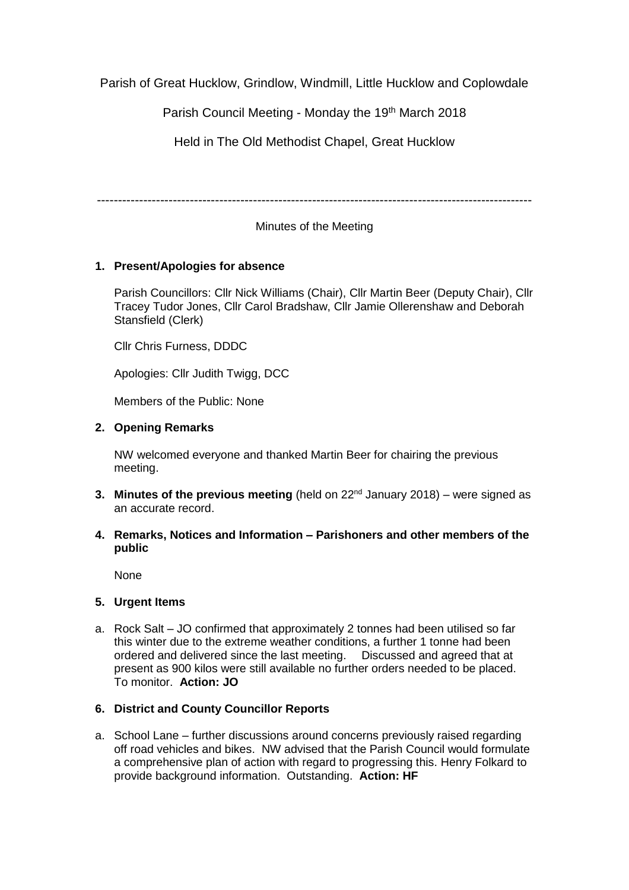Parish of Great Hucklow, Grindlow, Windmill, Little Hucklow and Coplowdale

Parish Council Meeting - Monday the 19th March 2018

Held in The Old Methodist Chapel, Great Hucklow

-------------------------------------------------------------------------------------------------------

# Minutes of the Meeting

## **1. Present/Apologies for absence**

Parish Councillors: Cllr Nick Williams (Chair), Cllr Martin Beer (Deputy Chair), Cllr Tracey Tudor Jones, Cllr Carol Bradshaw, Cllr Jamie Ollerenshaw and Deborah Stansfield (Clerk)

Cllr Chris Furness, DDDC

Apologies: Cllr Judith Twigg, DCC

Members of the Public: None

## **2. Opening Remarks**

NW welcomed everyone and thanked Martin Beer for chairing the previous meeting.

- **3. Minutes of the previous meeting** (held on 22<sup>nd</sup> January 2018) were signed as an accurate record.
- **4. Remarks, Notices and Information – Parishoners and other members of the public**

None

## **5. Urgent Items**

a. Rock Salt – JO confirmed that approximately 2 tonnes had been utilised so far this winter due to the extreme weather conditions, a further 1 tonne had been ordered and delivered since the last meeting. Discussed and agreed that at present as 900 kilos were still available no further orders needed to be placed. To monitor. **Action: JO**

## **6. District and County Councillor Reports**

a. School Lane – further discussions around concerns previously raised regarding off road vehicles and bikes. NW advised that the Parish Council would formulate a comprehensive plan of action with regard to progressing this. Henry Folkard to provide background information. Outstanding. **Action: HF**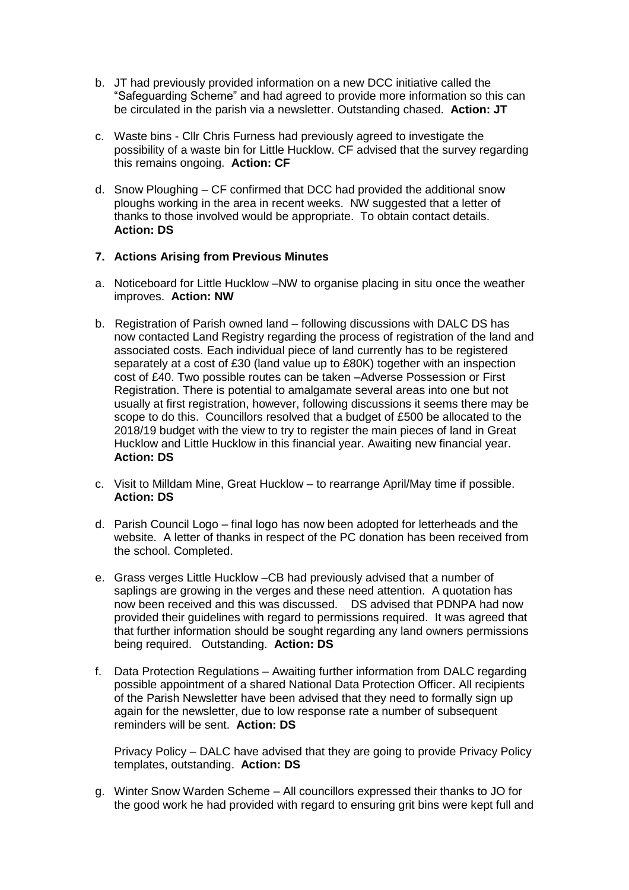- b. JT had previously provided information on a new DCC initiative called the "Safeguarding Scheme" and had agreed to provide more information so this can be circulated in the parish via a newsletter. Outstanding chased. **Action: JT**
- c. Waste bins Cllr Chris Furness had previously agreed to investigate the possibility of a waste bin for Little Hucklow. CF advised that the survey regarding this remains ongoing. **Action: CF**
- d. Snow Ploughing CF confirmed that DCC had provided the additional snow ploughs working in the area in recent weeks. NW suggested that a letter of thanks to those involved would be appropriate. To obtain contact details. **Action: DS**

### **7. Actions Arising from Previous Minutes**

- a. Noticeboard for Little Hucklow –NW to organise placing in situ once the weather improves. **Action: NW**
- b. Registration of Parish owned land following discussions with DALC DS has now contacted Land Registry regarding the process of registration of the land and associated costs. Each individual piece of land currently has to be registered separately at a cost of £30 (land value up to £80K) together with an inspection cost of £40. Two possible routes can be taken –Adverse Possession or First Registration. There is potential to amalgamate several areas into one but not usually at first registration, however, following discussions it seems there may be scope to do this. Councillors resolved that a budget of £500 be allocated to the 2018/19 budget with the view to try to register the main pieces of land in Great Hucklow and Little Hucklow in this financial year. Awaiting new financial year. **Action: DS**
- c. Visit to Milldam Mine, Great Hucklow to rearrange April/May time if possible. **Action: DS**
- d. Parish Council Logo final logo has now been adopted for letterheads and the website. A letter of thanks in respect of the PC donation has been received from the school. Completed.
- e. Grass verges Little Hucklow –CB had previously advised that a number of saplings are growing in the verges and these need attention. A quotation has now been received and this was discussed. DS advised that PDNPA had now provided their guidelines with regard to permissions required. It was agreed that that further information should be sought regarding any land owners permissions being required. Outstanding. **Action: DS**
- f. Data Protection Regulations Awaiting further information from DALC regarding possible appointment of a shared National Data Protection Officer. All recipients of the Parish Newsletter have been advised that they need to formally sign up again for the newsletter, due to low response rate a number of subsequent reminders will be sent. **Action: DS**

Privacy Policy – DALC have advised that they are going to provide Privacy Policy templates, outstanding. **Action: DS**

g. Winter Snow Warden Scheme – All councillors expressed their thanks to JO for the good work he had provided with regard to ensuring grit bins were kept full and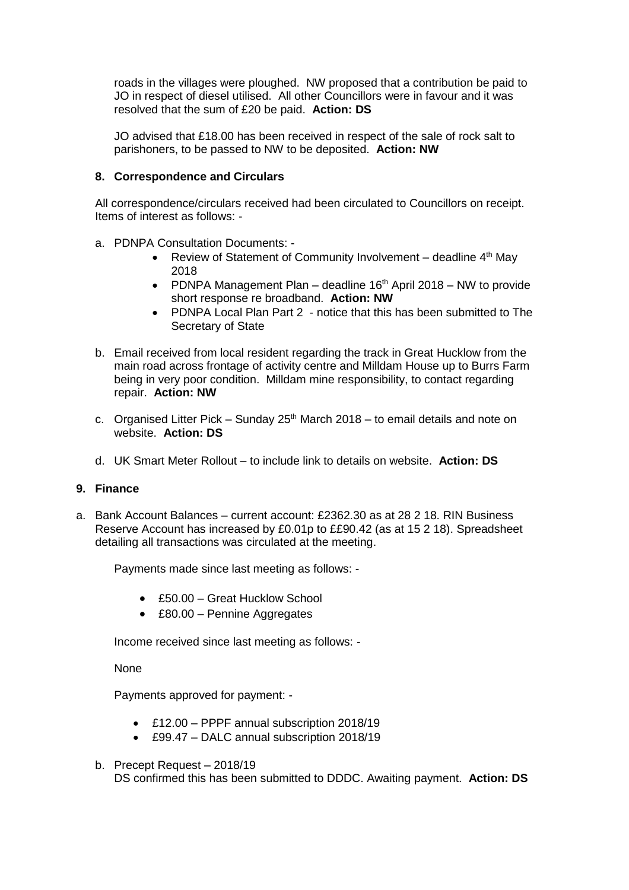roads in the villages were ploughed. NW proposed that a contribution be paid to JO in respect of diesel utilised. All other Councillors were in favour and it was resolved that the sum of £20 be paid. **Action: DS**

JO advised that £18.00 has been received in respect of the sale of rock salt to parishoners, to be passed to NW to be deposited. **Action: NW**

#### **8. Correspondence and Circulars**

All correspondence/circulars received had been circulated to Councillors on receipt. Items of interest as follows: -

- a. PDNPA Consultation Documents:
	- Review of Statement of Community Involvement deadline  $4<sup>th</sup>$  May 2018
	- PDNPA Management Plan deadline  $16<sup>th</sup>$  April 2018 NW to provide short response re broadband. **Action: NW**
	- PDNPA Local Plan Part 2 notice that this has been submitted to The Secretary of State
- b. Email received from local resident regarding the track in Great Hucklow from the main road across frontage of activity centre and Milldam House up to Burrs Farm being in very poor condition. Milldam mine responsibility, to contact regarding repair. **Action: NW**
- c. Organised Litter Pick Sunday  $25<sup>th</sup>$  March 2018 to email details and note on website. **Action: DS**
- d. UK Smart Meter Rollout to include link to details on website. **Action: DS**

#### **9. Finance**

a. Bank Account Balances – current account: £2362.30 as at 28 2 18. RIN Business Reserve Account has increased by £0.01p to ££90.42 (as at 15 2 18). Spreadsheet detailing all transactions was circulated at the meeting.

Payments made since last meeting as follows: -

- £50.00 Great Hucklow School
- £80.00 Pennine Aggregates

Income received since last meeting as follows: -

None

Payments approved for payment: -

- £12.00 PPPF annual subscription 2018/19
- £99.47 DALC annual subscription 2018/19
- b. Precept Request 2018/19 DS confirmed this has been submitted to DDDC. Awaiting payment. **Action: DS**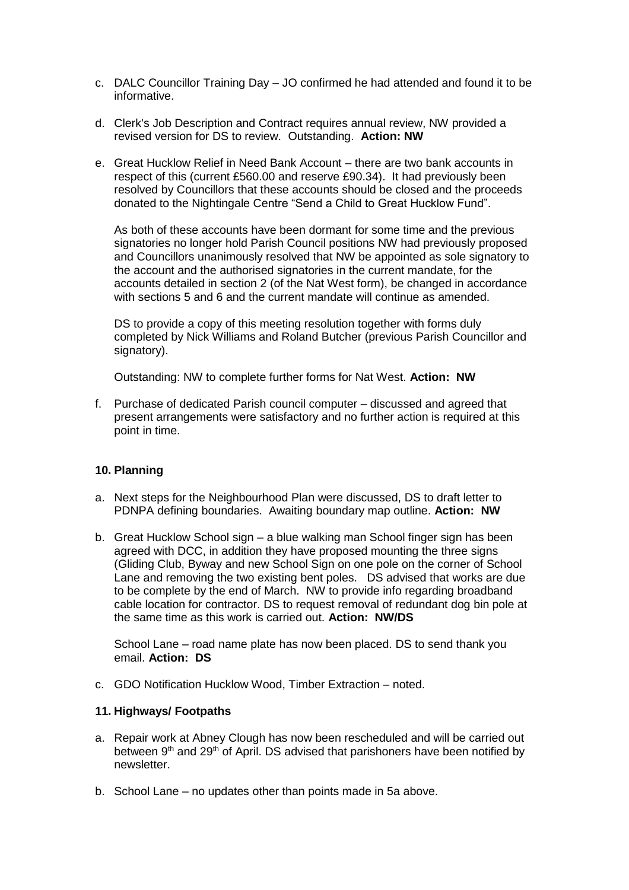- c. DALC Councillor Training Day JO confirmed he had attended and found it to be informative.
- d. Clerk's Job Description and Contract requires annual review, NW provided a revised version for DS to review. Outstanding. **Action: NW**
- e. Great Hucklow Relief in Need Bank Account there are two bank accounts in respect of this (current £560.00 and reserve £90.34). It had previously been resolved by Councillors that these accounts should be closed and the proceeds donated to the Nightingale Centre "Send a Child to Great Hucklow Fund".

As both of these accounts have been dormant for some time and the previous signatories no longer hold Parish Council positions NW had previously proposed and Councillors unanimously resolved that NW be appointed as sole signatory to the account and the authorised signatories in the current mandate, for the accounts detailed in section 2 (of the Nat West form), be changed in accordance with sections 5 and 6 and the current mandate will continue as amended.

DS to provide a copy of this meeting resolution together with forms duly completed by Nick Williams and Roland Butcher (previous Parish Councillor and signatory).

Outstanding: NW to complete further forms for Nat West. **Action: NW**

f. Purchase of dedicated Parish council computer – discussed and agreed that present arrangements were satisfactory and no further action is required at this point in time.

### **10. Planning**

- a. Next steps for the Neighbourhood Plan were discussed, DS to draft letter to PDNPA defining boundaries. Awaiting boundary map outline. **Action: NW**
- b. Great Hucklow School sign a blue walking man School finger sign has been agreed with DCC, in addition they have proposed mounting the three signs (Gliding Club, Byway and new School Sign on one pole on the corner of School Lane and removing the two existing bent poles. DS advised that works are due to be complete by the end of March. NW to provide info regarding broadband cable location for contractor. DS to request removal of redundant dog bin pole at the same time as this work is carried out. **Action: NW/DS**

School Lane – road name plate has now been placed. DS to send thank you email. **Action: DS**

c. GDO Notification Hucklow Wood, Timber Extraction – noted.

### **11. Highways/ Footpaths**

- a. Repair work at Abney Clough has now been rescheduled and will be carried out between 9<sup>th</sup> and 29<sup>th</sup> of April. DS advised that parishoners have been notified by newsletter.
- b. School Lane no updates other than points made in 5a above.